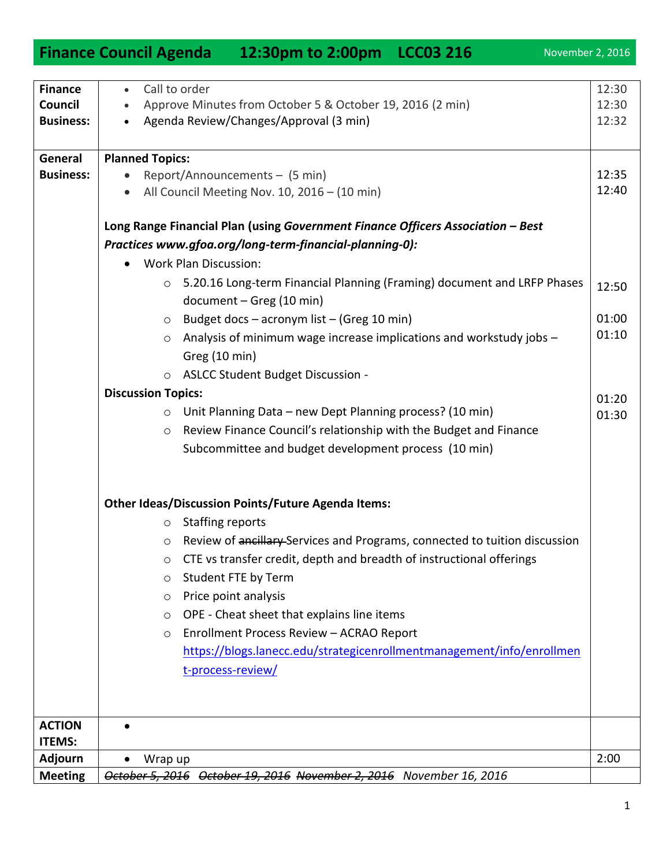**Long Range Financial Plan (using** *Government Finance Officers Association – Best Practices www.gfoa.org/long-term-financial-planning-0):* Work Plan Discussion: o 5.20.16 Long-term Financial Planning (Framing) document and LRFP Phases document – Greg (10 min)  $\circ$  Budget docs – acronym list – (Greg 10 min) o Analysis of minimum wage increase implications and workstudy jobs – Greg (10 min) o ASLCC Student Budget Discussion - **Discussion Topics:** o Unit Planning Data – new Dept Planning process? (10 min) o Review Finance Council's relationship with the Budget and Finance Subcommittee and budget development process (10 min) **Other Ideas/Discussion Points/Future Agenda Items:** o Staffing reports

## o Review of ancillary Services and Programs, connected to tuition discussion o CTE vs transfer credit, depth and breadth of instructional offerings o Student FTE by Term o Price point analysis o OPE - Cheat sheet that explains line items o Enrollment Process Review – ACRAO Report [https://blogs.lanecc.edu/strategicenrollmentmanagement/info/enrollmen](https://blogs.lanecc.edu/strategicenrollmentmanagement/info/enrollment-process-review/) [t-process-review/](https://blogs.lanecc.edu/strategicenrollmentmanagement/info/enrollment-process-review/) **ACTION ITEMS:**  $\bullet$ **Adjourn | •** Wrap up 2:00

**Meeting** *October 5, 2016 October 19, 2016 November 2, 2016 November 16, 2016* 

• Report/Announcements – (5 min)

• All Council Meeting Nov. 10, 2016 – (10 min)

**General Business:** 

12:35 12:40

12:50

01:00 01:10

01:20 01:30

|                                                      | <b>Finance Council Agenda</b> | 12:30pm to 2:00pm LCC03 216                                                                         | November 2, 2016        |
|------------------------------------------------------|-------------------------------|-----------------------------------------------------------------------------------------------------|-------------------------|
| <b>Finance</b><br><b>Council</b><br><b>Business:</b> | Call to order                 | Approve Minutes from October 5 & October 19, 2016 (2 min)<br>Agenda Review/Changes/Approval (3 min) | 12:30<br>12:30<br>12:32 |
| General                                              | <b>Planned Topics:</b>        |                                                                                                     |                         |